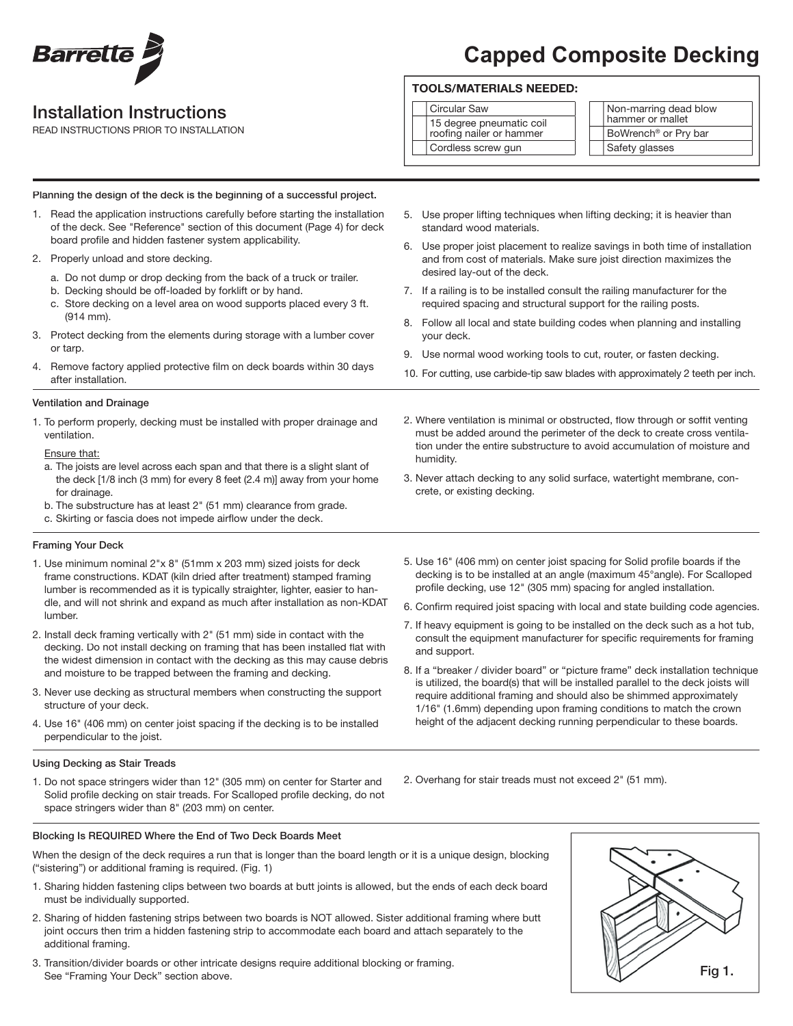

## Installation Instructions

2. Properly unload and store decking.

READ INSTRUCTIONS PRIOR TO INSTALLATION

# **Capped Composite Decking**

### TOOLS/MATERIALS NEEDED:

#### Circular Saw

humidity.

crete, or existing decking.

| 15 degree pneumatic coil<br>roofing nailer or hammer |
|------------------------------------------------------|
| Cordless screw gun                                   |

Non-marring dead blow hammer or mallet BoWrench® or Pry bar Safety glasses

- 5. Use proper lifting techniques when lifting decking; it is heavier than standard wood materials.
	- 6. Use proper joist placement to realize savings in both time of installation and from cost of materials. Make sure joist direction maximizes the desired lay-out of the deck.
	- 7. If a railing is to be installed consult the railing manufacturer for the required spacing and structural support for the railing posts.
	- 8. Follow all local and state building codes when planning and installing your deck.
	- 9. Use normal wood working tools to cut, router, or fasten decking.
	- 10. For cutting, use carbide-tip saw blades with approximately 2 teeth per inch.

2. Where ventilation is minimal or obstructed, flow through or soffit venting must be added around the perimeter of the deck to create cross ventilation under the entire substructure to avoid accumulation of moisture and

3. Never attach decking to any solid surface, watertight membrane, con-

after installation. Ventilation and Drainage

(914 mm).

or tarp.

1. To perform properly, decking must be installed with proper drainage and ventilation.

Planning the design of the deck is the beginning of a successful project. 1. Read the application instructions carefully before starting the installation of the deck. See "Reference" section of this document (Page 4) for deck

a. Do not dump or drop decking from the back of a truck or trailer.

c. Store decking on a level area on wood supports placed every 3 ft.

3. Protect decking from the elements during storage with a lumber cover

4. Remove factory applied protective film on deck boards within 30 days

board profile and hidden fastener system applicability.

b. Decking should be off-loaded by forklift or by hand.

#### Ensure that:

- a. The joists are level across each span and that there is a slight slant of the deck [1/8 inch (3 mm) for every 8 feet (2.4 m)] away from your home for drainage.
- b. The substructure has at least 2" (51 mm) clearance from grade.
- c. Skirting or fascia does not impede airflow under the deck.

#### Framing Your Deck

- 1. Use minimum nominal 2"x 8" (51mm x 203 mm) sized joists for deck frame constructions. KDAT (kiln dried after treatment) stamped framing lumber is recommended as it is typically straighter, lighter, easier to handle, and will not shrink and expand as much after installation as non-KDAT lumber.
- 2. Install deck framing vertically with 2" (51 mm) side in contact with the decking. Do not install decking on framing that has been installed flat with the widest dimension in contact with the decking as this may cause debris and moisture to be trapped between the framing and decking.
- 3. Never use decking as structural members when constructing the support structure of your deck.
- 4. Use 16" (406 mm) on center joist spacing if the decking is to be installed perpendicular to the joist.

#### Using Decking as Stair Treads

1. Do not space stringers wider than 12" (305 mm) on center for Starter and Solid profile decking on stair treads. For Scalloped profile decking, do not space stringers wider than 8" (203 mm) on center.

decking is to be installed at an angle (maximum 45°angle). For Scalloped profile decking, use 12" (305 mm) spacing for angled installation. 6. Confirm required joist spacing with local and state building code agencies.

5. Use 16" (406 mm) on center joist spacing for Solid profile boards if the

- 7. If heavy equipment is going to be installed on the deck such as a hot tub, consult the equipment manufacturer for specific requirements for framing and support.
- 8. If a "breaker / divider board" or "picture frame" deck installation technique is utilized, the board(s) that will be installed parallel to the deck joists will require additional framing and should also be shimmed approximately 1/16" (1.6mm) depending upon framing conditions to match the crown height of the adjacent decking running perpendicular to these boards.
- 2. Overhang for stair treads must not exceed 2" (51 mm).
- Blocking Is REQUIRED Where the End of Two Deck Boards Meet

When the design of the deck requires a run that is longer than the board length or it is a unique design, blocking ("sistering") or additional framing is required. (Fig. 1)

- 1. Sharing hidden fastening clips between two boards at butt joints is allowed, but the ends of each deck board must be individually supported.
- 2. Sharing of hidden fastening strips between two boards is NOT allowed. Sister additional framing where butt joint occurs then trim a hidden fastening strip to accommodate each board and attach separately to the additional framing.
- 3. Transition/divider boards or other intricate designs require additional blocking or framing. See "Framing Your Deck" section above.

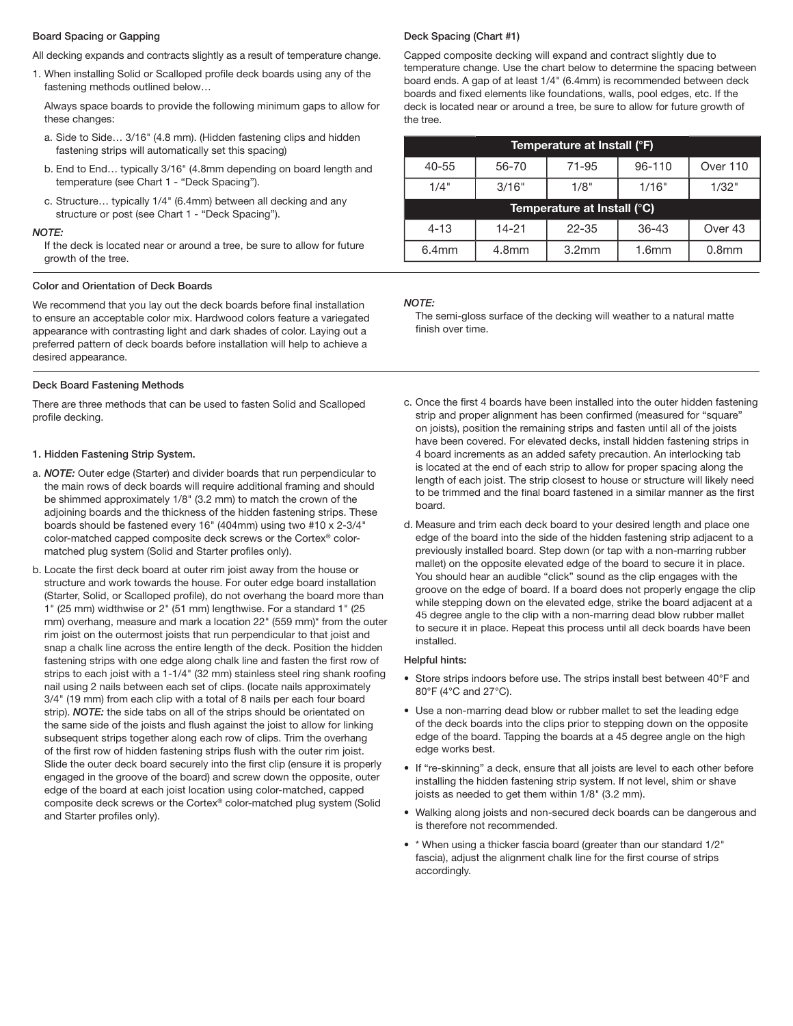#### Board Spacing or Gapping

All decking expands and contracts slightly as a result of temperature change.

1. When installing Solid or Scalloped profile deck boards using any of the fastening methods outlined below…

 Always space boards to provide the following minimum gaps to allow for these changes:

- a. Side to Side… 3/16" (4.8 mm). (Hidden fastening clips and hidden fastening strips will automatically set this spacing)
- b. End to End… typically 3/16" (4.8mm depending on board length and temperature (see Chart 1 - "Deck Spacing").
- c. Structure… typically 1/4" (6.4mm) between all decking and any structure or post (see Chart 1 - "Deck Spacing").

#### *NOTE:*

If the deck is located near or around a tree, be sure to allow for future growth of the tree.

#### Color and Orientation of Deck Boards

We recommend that you lay out the deck boards before final installation to ensure an acceptable color mix. Hardwood colors feature a variegated appearance with contrasting light and dark shades of color. Laying out a preferred pattern of deck boards before installation will help to achieve a desired appearance.

#### Deck Board Fastening Methods

There are three methods that can be used to fasten Solid and Scalloped profile decking.

#### 1. Hidden Fastening Strip System.

- a. *NOTE:* Outer edge (Starter) and divider boards that run perpendicular to the main rows of deck boards will require additional framing and should be shimmed approximately 1/8" (3.2 mm) to match the crown of the adjoining boards and the thickness of the hidden fastening strips. These boards should be fastened every 16" (404mm) using two #10 x 2-3/4" color-matched capped composite deck screws or the Cortex® colormatched plug system (Solid and Starter profiles only).
- b. Locate the first deck board at outer rim joist away from the house or structure and work towards the house. For outer edge board installation (Starter, Solid, or Scalloped profile), do not overhang the board more than 1" (25 mm) widthwise or 2" (51 mm) lengthwise. For a standard 1" (25 mm) overhang, measure and mark a location 22" (559 mm)\* from the outer rim joist on the outermost joists that run perpendicular to that joist and snap a chalk line across the entire length of the deck. Position the hidden fastening strips with one edge along chalk line and fasten the first row of strips to each joist with a 1-1/4" (32 mm) stainless steel ring shank roofing nail using 2 nails between each set of clips. (locate nails approximately 3/4" (19 mm) from each clip with a total of 8 nails per each four board strip). *NOTE:* the side tabs on all of the strips should be orientated on the same side of the joists and flush against the joist to allow for linking subsequent strips together along each row of clips. Trim the overhang of the first row of hidden fastening strips flush with the outer rim joist. Slide the outer deck board securely into the first clip (ensure it is properly engaged in the groove of the board) and screw down the opposite, outer edge of the board at each joist location using color-matched, capped composite deck screws or the Cortex® color-matched plug system (Solid and Starter profiles only).

#### Deck Spacing (Chart #1)

Capped composite decking will expand and contract slightly due to temperature change. Use the chart below to determine the spacing between board ends. A gap of at least 1/4" (6.4mm) is recommended between deck boards and fixed elements like foundations, walls, pool edges, etc. If the deck is located near or around a tree, be sure to allow for future growth of the tree.

| Temperature at Install (°F) |       |           |           |          |  |
|-----------------------------|-------|-----------|-----------|----------|--|
| $40 - 55$                   | 56-70 | 71-95     | 96-110    | Over 110 |  |
| 1/4"                        | 3/16" | 1/8"      | 1/16"     | 1/32"    |  |
| Temperature at Install (°C) |       |           |           |          |  |
|                             |       |           |           |          |  |
| $4 - 13$                    | 14-21 | $22 - 35$ | $36 - 43$ | Over 43  |  |

#### *NOTE:*

The semi-gloss surface of the decking will weather to a natural matte finish over time.

- c. Once the first 4 boards have been installed into the outer hidden fastening strip and proper alignment has been confirmed (measured for "square" on joists), position the remaining strips and fasten until all of the joists have been covered. For elevated decks, install hidden fastening strips in 4 board increments as an added safety precaution. An interlocking tab is located at the end of each strip to allow for proper spacing along the length of each joist. The strip closest to house or structure will likely need to be trimmed and the final board fastened in a similar manner as the first board.
- d. Measure and trim each deck board to your desired length and place one edge of the board into the side of the hidden fastening strip adjacent to a previously installed board. Step down (or tap with a non-marring rubber mallet) on the opposite elevated edge of the board to secure it in place. You should hear an audible "click" sound as the clip engages with the groove on the edge of board. If a board does not properly engage the clip while stepping down on the elevated edge, strike the board adjacent at a 45 degree angle to the clip with a non-marring dead blow rubber mallet to secure it in place. Repeat this process until all deck boards have been installed.

#### Helpful hints:

- Store strips indoors before use. The strips install best between 40°F and 80°F (4°C and 27°C).
- Use a non-marring dead blow or rubber mallet to set the leading edge of the deck boards into the clips prior to stepping down on the opposite edge of the board. Tapping the boards at a 45 degree angle on the high edge works best.
- If "re-skinning" a deck, ensure that all joists are level to each other before installing the hidden fastening strip system. If not level, shim or shave joists as needed to get them within 1/8" (3.2 mm).
- Walking along joists and non-secured deck boards can be dangerous and is therefore not recommended.
- \* When using a thicker fascia board (greater than our standard 1/2" fascia), adjust the alignment chalk line for the first course of strips accordingly.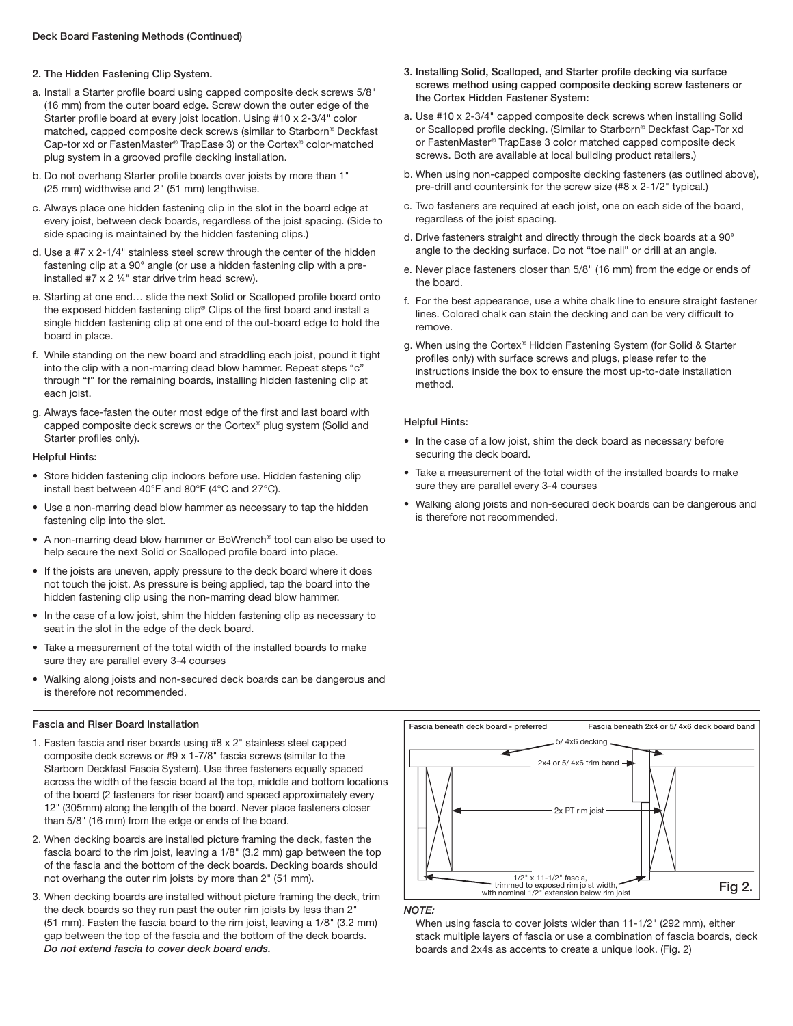#### 2. The Hidden Fastening Clip System.

- a. Install a Starter profile board using capped composite deck screws 5/8" (16 mm) from the outer board edge. Screw down the outer edge of the Starter profile board at every joist location. Using #10 x 2-3/4" color matched, capped composite deck screws (similar to Starborn® Deckfast Cap-tor xd or FastenMaster® TrapEase 3) or the Cortex® color-matched plug system in a grooved profile decking installation.
- b. Do not overhang Starter profile boards over joists by more than 1" (25 mm) widthwise and 2" (51 mm) lengthwise.
- c. Always place one hidden fastening clip in the slot in the board edge at every joist, between deck boards, regardless of the joist spacing. (Side to side spacing is maintained by the hidden fastening clips.)
- d. Use a #7 x 2-1/4" stainless steel screw through the center of the hidden fastening clip at a 90° angle (or use a hidden fastening clip with a preinstalled #7 x 2 ¼" star drive trim head screw).
- e. Starting at one end... slide the next Solid or Scalloped profile board onto the exposed hidden fastening clip® Clips of the first board and install a single hidden fastening clip at one end of the out-board edge to hold the board in place.
- f. While standing on the new board and straddling each joist, pound it tight into the clip with a non-marring dead blow hammer. Repeat steps "c" through "f" for the remaining boards, installing hidden fastening clip at each joist.
- g. Always face-fasten the outer most edge of the first and last board with capped composite deck screws or the Cortex® plug system (Solid and Starter profiles only).

#### Helpful Hints:

- Store hidden fastening clip indoors before use. Hidden fastening clip install best between 40°F and 80°F (4°C and 27°C).
- Use a non-marring dead blow hammer as necessary to tap the hidden fastening clip into the slot.
- A non-marring dead blow hammer or BoWrench® tool can also be used to help secure the next Solid or Scalloped profile board into place.
- If the joists are uneven, apply pressure to the deck board where it does not touch the joist. As pressure is being applied, tap the board into the hidden fastening clip using the non-marring dead blow hammer.
- In the case of a low joist, shim the hidden fastening clip as necessary to seat in the slot in the edge of the deck board.
- Take a measurement of the total width of the installed boards to make sure they are parallel every 3-4 courses
- Walking along joists and non-secured deck boards can be dangerous and is therefore not recommended.

#### Fascia and Riser Board Installation

- 1. Fasten fascia and riser boards using #8 x 2" stainless steel capped composite deck screws or #9 x 1-7/8" fascia screws (similar to the Starborn Deckfast Fascia System). Use three fasteners equally spaced across the width of the fascia board at the top, middle and bottom locations of the board (2 fasteners for riser board) and spaced approximately every 12" (305mm) along the length of the board. Never place fasteners closer than 5/8" (16 mm) from the edge or ends of the board.
- 2. When decking boards are installed picture framing the deck, fasten the fascia board to the rim joist, leaving a 1/8" (3.2 mm) gap between the top of the fascia and the bottom of the deck boards. Decking boards should not overhang the outer rim joists by more than 2" (51 mm).
- 3. When decking boards are installed without picture framing the deck, trim the deck boards so they run past the outer rim joists by less than 2" (51 mm). Fasten the fascia board to the rim joist, leaving a 1/8" (3.2 mm) gap between the top of the fascia and the bottom of the deck boards. *Do not extend fascia to cover deck board ends.*
- 3. Installing Solid, Scalloped, and Starter profile decking via surface screws method using capped composite decking screw fasteners or the Cortex Hidden Fastener System:
- a. Use #10 x 2-3/4" capped composite deck screws when installing Solid or Scalloped profile decking. (Similar to Starborn® Deckfast Cap-Tor xd or FastenMaster® TrapEase 3 color matched capped composite deck screws. Both are available at local building product retailers.)
- b. When using non-capped composite decking fasteners (as outlined above), pre-drill and countersink for the screw size (#8 x 2-1/2" typical.)
- c. Two fasteners are required at each joist, one on each side of the board, regardless of the joist spacing.
- d. Drive fasteners straight and directly through the deck boards at a 90° angle to the decking surface. Do not "toe nail" or drill at an angle.
- e. Never place fasteners closer than 5/8" (16 mm) from the edge or ends of the board.
- f. For the best appearance, use a white chalk line to ensure straight fastener lines. Colored chalk can stain the decking and can be very difficult to remove.
- g. When using the Cortex® Hidden Fastening System (for Solid & Starter profiles only) with surface screws and plugs, please refer to the instructions inside the box to ensure the most up-to-date installation method.

#### Helpful Hints:

- In the case of a low joist, shim the deck board as necessary before securing the deck board.
- Take a measurement of the total width of the installed boards to make sure they are parallel every 3-4 courses
- Walking along joists and non-secured deck boards can be dangerous and is therefore not recommended.



*NOTE:*

When using fascia to cover joists wider than 11-1/2" (292 mm), either stack multiple layers of fascia or use a combination of fascia boards, deck boards and 2x4s as accents to create a unique look. (Fig. 2)